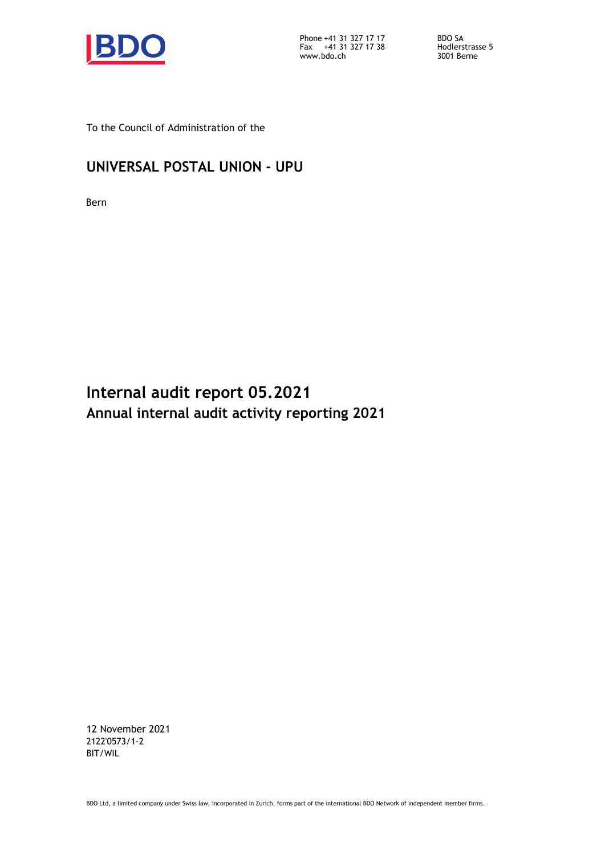

Phone Fax +41 31 327 17 17 +41 31 327 17 38 www.bdo.ch 3001 Berne

BDO SA Hodlerstrasse 5

To the Council of Administration of the

# **UNIVERSAL POSTAL UNION - UPU**

Bern

**Internal audit report 05.2021 Annual internal audit activity reporting 2021**

12 November 2021 2122'0573/1-2 BIT/WIL

BDO Ltd, a limited company under Swiss law, incorporated in Zurich, forms part of the international BDO Network of independent member firms.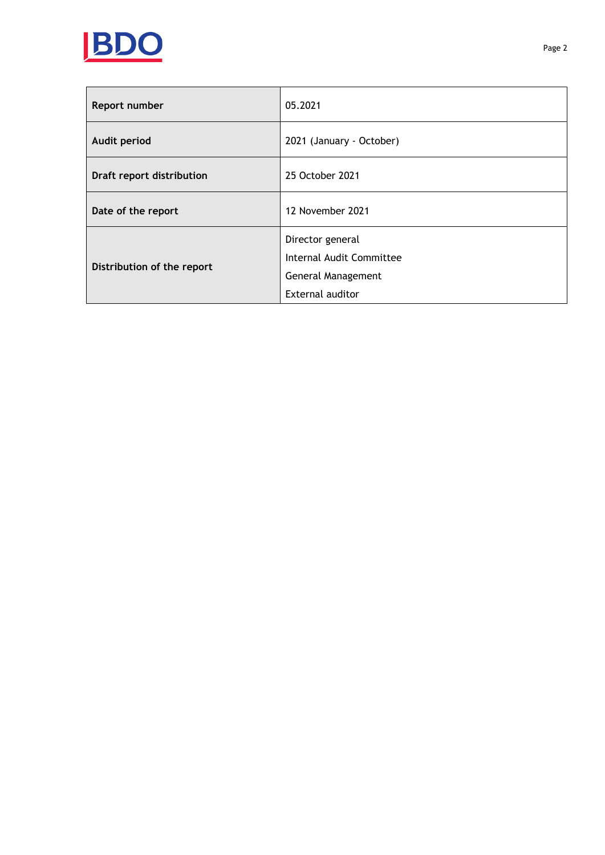

| Report number              | 05.2021                  |
|----------------------------|--------------------------|
| Audit period               | 2021 (January - October) |
| Draft report distribution  | 25 October 2021          |
| Date of the report         | 12 November 2021         |
|                            | Director general         |
| Distribution of the report | Internal Audit Committee |
|                            | General Management       |
|                            | External auditor         |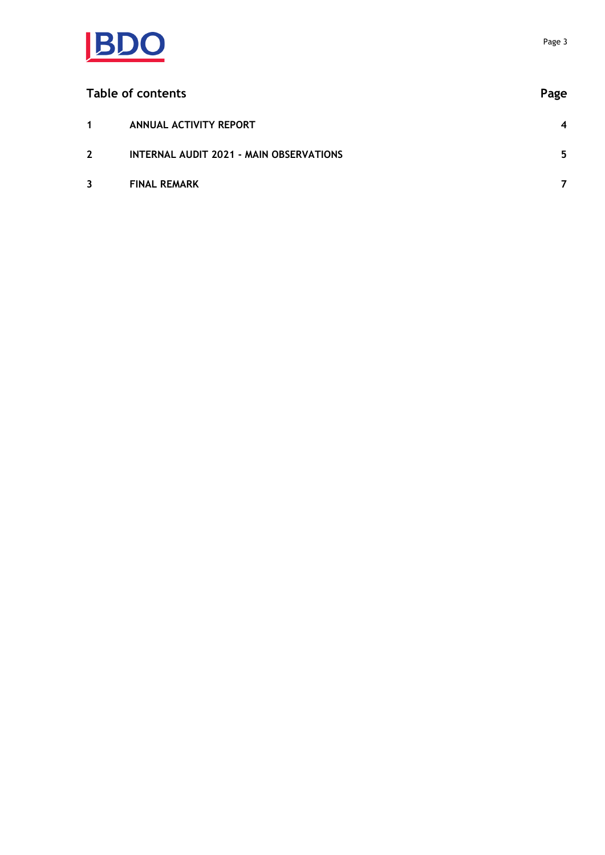

| Table of contents |                                         | Page |
|-------------------|-----------------------------------------|------|
| $\mathbf 1$       | ANNUAL ACTIVITY REPORT                  | 4    |
| $2^{\circ}$       | INTERNAL AUDIT 2021 - MAIN OBSERVATIONS | 5    |
| $\mathbf{3}$      | <b>FINAL REMARK</b>                     |      |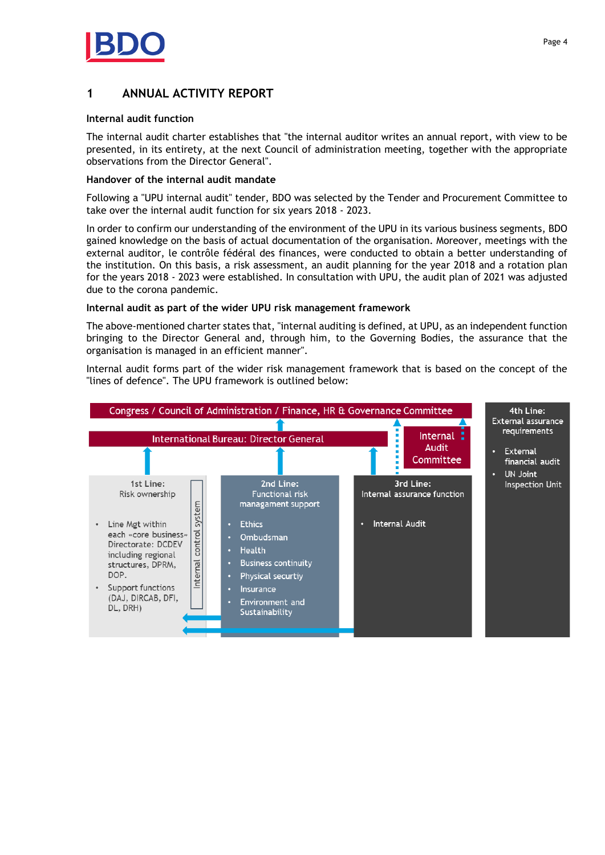

# <span id="page-3-0"></span>**1 ANNUAL ACTIVITY REPORT**

#### **Internal audit function**

The internal audit charter establishes that "the internal auditor writes an annual report, with view to be presented, in its entirety, at the next Council of administration meeting, together with the appropriate observations from the Director General".

#### **Handover of the internal audit mandate**

Following a "UPU internal audit" tender, BDO was selected by the Tender and Procurement Committee to take over the internal audit function for six years 2018 - 2023.

In order to confirm our understanding of the environment of the UPU in its various business segments, BDO gained knowledge on the basis of actual documentation of the organisation. Moreover, meetings with the external auditor, le contrôle fédéral des finances, were conducted to obtain a better understanding of the institution. On this basis, a risk assessment, an audit planning for the year 2018 and a rotation plan for the years 2018 - 2023 were established. In consultation with UPU, the audit plan of 2021 was adjusted due to the corona pandemic.

#### **Internal audit as part of the wider UPU risk management framework**

The above-mentioned charter states that, "internal auditing is defined, at UPU, as an independent function bringing to the Director General and, through him, to the Governing Bodies, the assurance that the organisation is managed in an efficient manner".

Internal audit forms part of the wider risk management framework that is based on the concept of the "lines of defence". The UPU framework is outlined below:

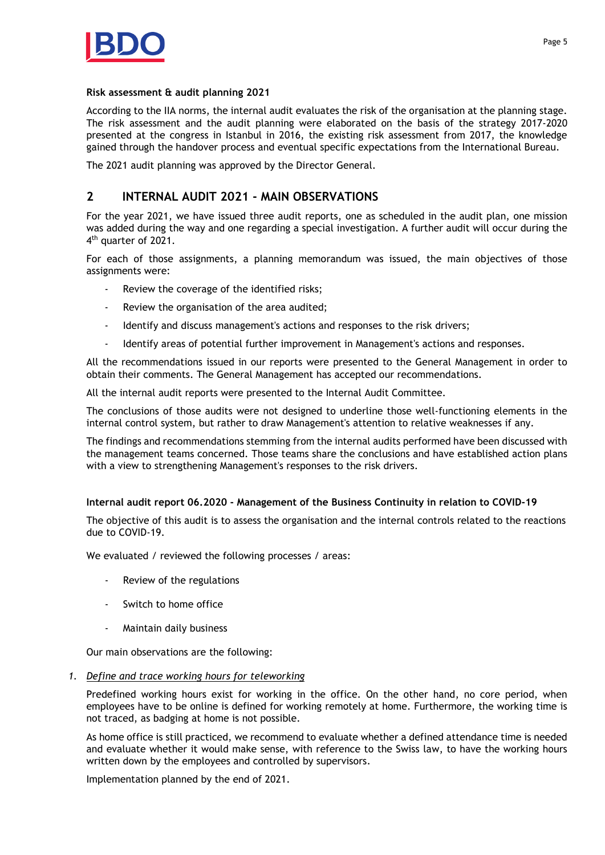

#### **Risk assessment & audit planning 2021**

According to the IIA norms, the internal audit evaluates the risk of the organisation at the planning stage. The risk assessment and the audit planning were elaborated on the basis of the strategy 2017-2020 presented at the congress in Istanbul in 2016, the existing risk assessment from 2017, the knowledge gained through the handover process and eventual specific expectations from the International Bureau.

The 2021 audit planning was approved by the Director General.

# <span id="page-4-0"></span>**2 INTERNAL AUDIT 2021 - MAIN OBSERVATIONS**

For the year 2021, we have issued three audit reports, one as scheduled in the audit plan, one mission was added during the way and one regarding a special investigation. A further audit will occur during the 4th quarter of 2021.

For each of those assignments, a planning memorandum was issued, the main objectives of those assignments were:

- Review the coverage of the identified risks;
- Review the organisation of the area audited;
- Identify and discuss management's actions and responses to the risk drivers;
- Identify areas of potential further improvement in Management's actions and responses.

All the recommendations issued in our reports were presented to the General Management in order to obtain their comments. The General Management has accepted our recommendations.

All the internal audit reports were presented to the Internal Audit Committee.

The conclusions of those audits were not designed to underline those well-functioning elements in the internal control system, but rather to draw Management's attention to relative weaknesses if any.

The findings and recommendations stemming from the internal audits performed have been discussed with the management teams concerned. Those teams share the conclusions and have established action plans with a view to strengthening Management's responses to the risk drivers.

#### **Internal audit report 06.2020 - Management of the Business Continuity in relation to COVID-19**

The objective of this audit is to assess the organisation and the internal controls related to the reactions due to COVID-19.

We evaluated / reviewed the following processes / areas:

- Review of the regulations
- Switch to home office
- Maintain daily business

Our main observations are the following:

*1. Define and trace working hours for teleworking*

Predefined working hours exist for working in the office. On the other hand, no core period, when employees have to be online is defined for working remotely at home. Furthermore, the working time is not traced, as badging at home is not possible.

As home office is still practiced, we recommend to evaluate whether a defined attendance time is needed and evaluate whether it would make sense, with reference to the Swiss law, to have the working hours written down by the employees and controlled by supervisors.

Implementation planned by the end of 2021.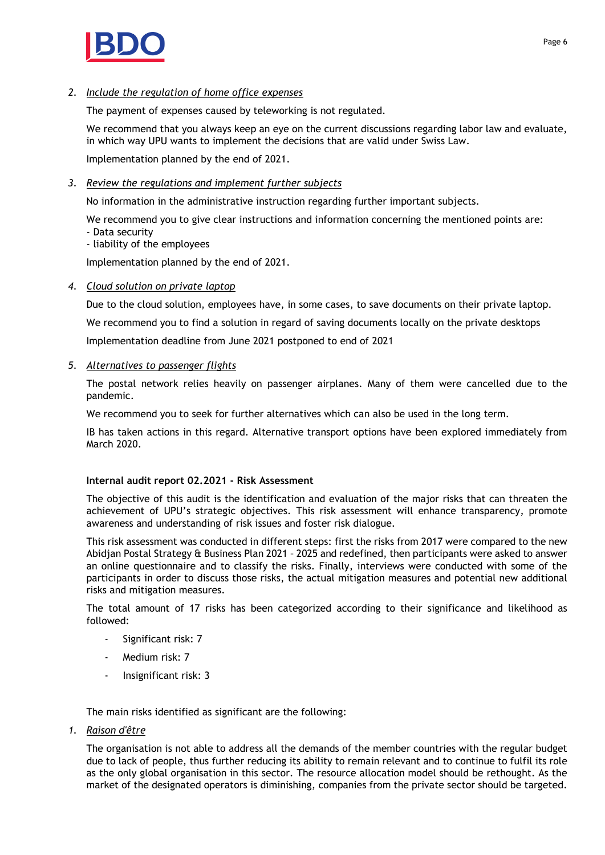

# *2. Include the regulation of home office expenses*

The payment of expenses caused by teleworking is not regulated.

We recommend that you always keep an eye on the current discussions regarding labor law and evaluate, in which way UPU wants to implement the decisions that are valid under Swiss Law.

Implementation planned by the end of 2021.

## *3. Review the regulations and implement further subjects*

No information in the administrative instruction regarding further important subjects.

We recommend you to give clear instructions and information concerning the mentioned points are: - Data security

- liability of the employees

Implementation planned by the end of 2021.

#### *4. Cloud solution on private laptop*

Due to the cloud solution, employees have, in some cases, to save documents on their private laptop. We recommend you to find a solution in regard of saving documents locally on the private desktops Implementation deadline from June 2021 postponed to end of 2021

#### *5. Alternatives to passenger flights*

The postal network relies heavily on passenger airplanes. Many of them were cancelled due to the pandemic.

We recommend you to seek for further alternatives which can also be used in the long term.

IB has taken actions in this regard. Alternative transport options have been explored immediately from March 2020.

#### **Internal audit report 02.2021 - Risk Assessment**

The objective of this audit is the identification and evaluation of the major risks that can threaten the achievement of UPU's strategic objectives. This risk assessment will enhance transparency, promote awareness and understanding of risk issues and foster risk dialogue.

This risk assessment was conducted in different steps: first the risks from 2017 were compared to the new Abidjan Postal Strategy & Business Plan 2021 – 2025 and redefined, then participants were asked to answer an online questionnaire and to classify the risks. Finally, interviews were conducted with some of the participants in order to discuss those risks, the actual mitigation measures and potential new additional risks and mitigation measures.

The total amount of 17 risks has been categorized according to their significance and likelihood as followed:

- Significant risk: 7
- Medium risk: 7
- Insignificant risk: 3

The main risks identified as significant are the following:

*1. Raison d'être*

The organisation is not able to address all the demands of the member countries with the regular budget due to lack of people, thus further reducing its ability to remain relevant and to continue to fulfil its role as the only global organisation in this sector. The resource allocation model should be rethought. As the market of the designated operators is diminishing, companies from the private sector should be targeted.